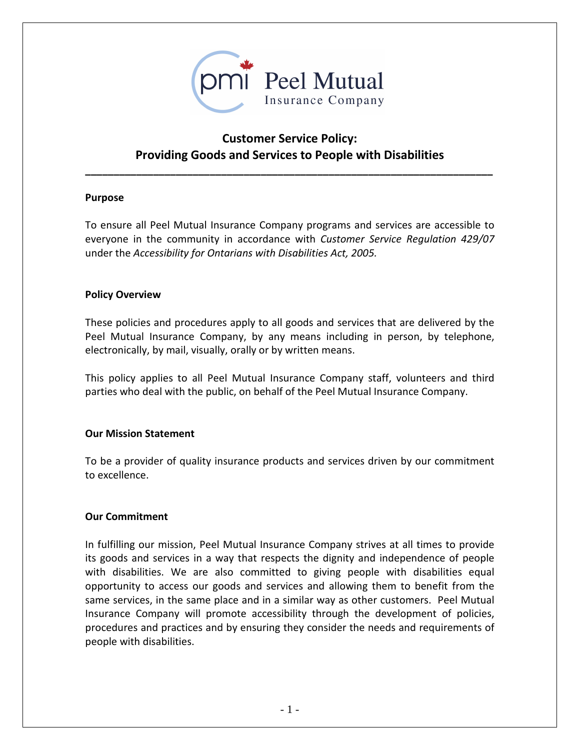

# **Customer Service Policy: Providing Goods and Services to People with Disabilities**

**\_\_\_\_\_\_\_\_\_\_\_\_\_\_\_\_\_\_\_\_\_\_\_\_\_\_\_\_\_\_\_\_\_\_\_\_\_\_\_\_\_\_\_\_\_\_\_\_\_\_\_\_\_\_\_\_\_\_\_\_\_\_\_\_\_\_\_\_\_\_\_\_**

#### **Purpose**

To ensure all Peel Mutual Insurance Company programs and services are accessible to everyone in the community in accordance with *Customer Service Regulation 429/07* under the *Accessibility for Ontarians with Disabilities Act, 2005.*

#### **Policy Overview**

These policies and procedures apply to all goods and services that are delivered by the Peel Mutual Insurance Company, by any means including in person, by telephone, electronically, by mail, visually, orally or by written means.

This policy applies to all Peel Mutual Insurance Company staff, volunteers and third parties who deal with the public, on behalf of the Peel Mutual Insurance Company.

#### **Our Mission Statement**

To be a provider of quality insurance products and services driven by our commitment to excellence.

#### **Our Commitment**

In fulfilling our mission, Peel Mutual Insurance Company strives at all times to provide its goods and services in a way that respects the dignity and independence of people with disabilities. We are also committed to giving people with disabilities equal opportunity to access our goods and services and allowing them to benefit from the same services, in the same place and in a similar way as other customers. Peel Mutual Insurance Company will promote accessibility through the development of policies, procedures and practices and by ensuring they consider the needs and requirements of people with disabilities.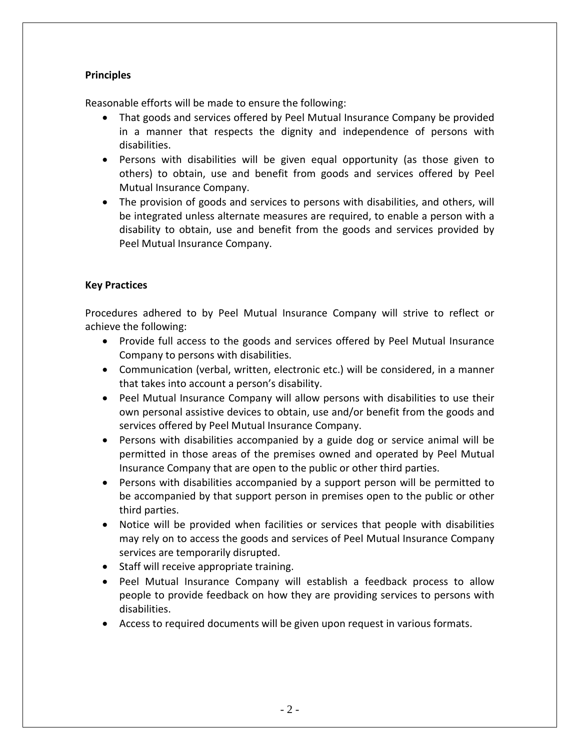# **Principles**

Reasonable efforts will be made to ensure the following:

- That goods and services offered by Peel Mutual Insurance Company be provided in a manner that respects the dignity and independence of persons with disabilities.
- Persons with disabilities will be given equal opportunity (as those given to others) to obtain, use and benefit from goods and services offered by Peel Mutual Insurance Company.
- The provision of goods and services to persons with disabilities, and others, will be integrated unless alternate measures are required, to enable a person with a disability to obtain, use and benefit from the goods and services provided by Peel Mutual Insurance Company.

#### **Key Practices**

Procedures adhered to by Peel Mutual Insurance Company will strive to reflect or achieve the following:

- Provide full access to the goods and services offered by Peel Mutual Insurance Company to persons with disabilities.
- Communication (verbal, written, electronic etc.) will be considered, in a manner that takes into account a person's disability.
- Peel Mutual Insurance Company will allow persons with disabilities to use their own personal assistive devices to obtain, use and/or benefit from the goods and services offered by Peel Mutual Insurance Company.
- Persons with disabilities accompanied by a guide dog or service animal will be permitted in those areas of the premises owned and operated by Peel Mutual Insurance Company that are open to the public or other third parties.
- Persons with disabilities accompanied by a support person will be permitted to be accompanied by that support person in premises open to the public or other third parties.
- Notice will be provided when facilities or services that people with disabilities may rely on to access the goods and services of Peel Mutual Insurance Company services are temporarily disrupted.
- Staff will receive appropriate training.
- Peel Mutual Insurance Company will establish a feedback process to allow people to provide feedback on how they are providing services to persons with disabilities.
- Access to required documents will be given upon request in various formats.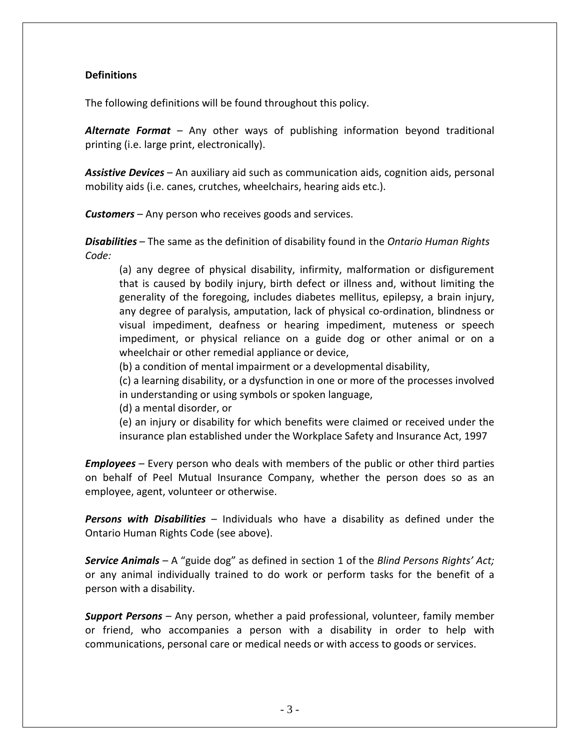#### **Definitions**

The following definitions will be found throughout this policy.

*Alternate Format* – Any other ways of publishing information beyond traditional printing (i.e. large print, electronically).

*Assistive Devices* – An auxiliary aid such as communication aids, cognition aids, personal mobility aids (i.e. canes, crutches, wheelchairs, hearing aids etc.).

*Customers* – Any person who receives goods and services.

*Disabilities* – The same as the definition of disability found in the *Ontario Human Rights Code:* 

(a) any degree of physical disability, infirmity, malformation or disfigurement that is caused by bodily injury, birth defect or illness and, without limiting the generality of the foregoing, includes diabetes mellitus, epilepsy, a brain injury, any degree of paralysis, amputation, lack of physical co-ordination, blindness or visual impediment, deafness or hearing impediment, muteness or speech impediment, or physical reliance on a guide dog or other animal or on a wheelchair or other remedial appliance or device,

(b) a condition of mental impairment or a developmental disability,

(c) a learning disability, or a dysfunction in one or more of the processes involved in understanding or using symbols or spoken language,

(d) a mental disorder, or

(e) an injury or disability for which benefits were claimed or received under the insurance plan established under the Workplace Safety and Insurance Act, 1997

*Employees* – Every person who deals with members of the public or other third parties on behalf of Peel Mutual Insurance Company, whether the person does so as an employee, agent, volunteer or otherwise.

*Persons with Disabilities* – Individuals who have a disability as defined under the Ontario Human Rights Code (see above).

*Service Animals* – A "guide dog" as defined in section 1 of the *Blind Persons Rights' Act;* or any animal individually trained to do work or perform tasks for the benefit of a person with a disability.

*Support Persons* – Any person, whether a paid professional, volunteer, family member or friend, who accompanies a person with a disability in order to help with communications, personal care or medical needs or with access to goods or services.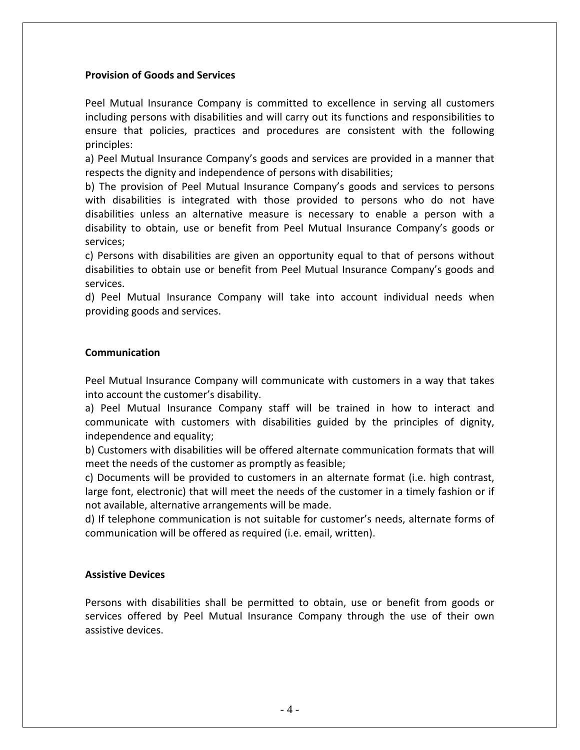#### **Provision of Goods and Services**

Peel Mutual Insurance Company is committed to excellence in serving all customers including persons with disabilities and will carry out its functions and responsibilities to ensure that policies, practices and procedures are consistent with the following principles:

a) Peel Mutual Insurance Company's goods and services are provided in a manner that respects the dignity and independence of persons with disabilities;

b) The provision of Peel Mutual Insurance Company's goods and services to persons with disabilities is integrated with those provided to persons who do not have disabilities unless an alternative measure is necessary to enable a person with a disability to obtain, use or benefit from Peel Mutual Insurance Company's goods or services;

c) Persons with disabilities are given an opportunity equal to that of persons without disabilities to obtain use or benefit from Peel Mutual Insurance Company's goods and services.

d) Peel Mutual Insurance Company will take into account individual needs when providing goods and services.

#### **Communication**

Peel Mutual Insurance Company will communicate with customers in a way that takes into account the customer's disability.

a) Peel Mutual Insurance Company staff will be trained in how to interact and communicate with customers with disabilities guided by the principles of dignity, independence and equality;

b) Customers with disabilities will be offered alternate communication formats that will meet the needs of the customer as promptly as feasible;

c) Documents will be provided to customers in an alternate format (i.e. high contrast, large font, electronic) that will meet the needs of the customer in a timely fashion or if not available, alternative arrangements will be made.

d) If telephone communication is not suitable for customer's needs, alternate forms of communication will be offered as required (i.e. email, written).

#### **Assistive Devices**

Persons with disabilities shall be permitted to obtain, use or benefit from goods or services offered by Peel Mutual Insurance Company through the use of their own assistive devices.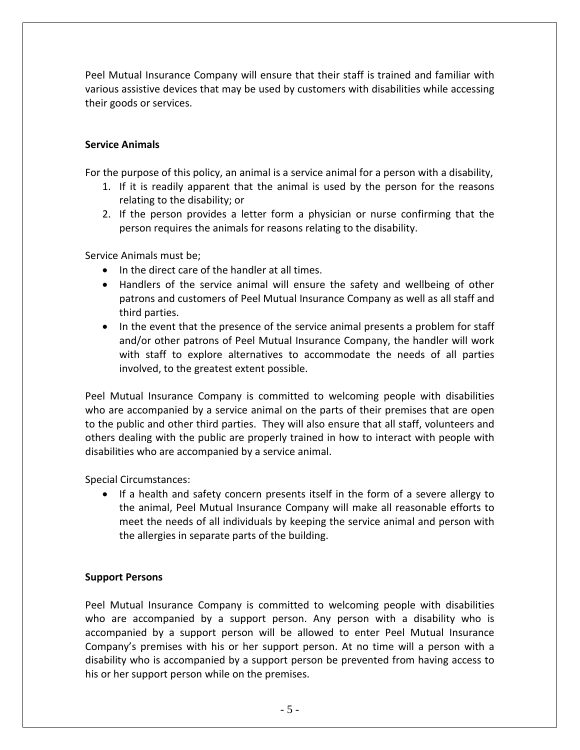Peel Mutual Insurance Company will ensure that their staff is trained and familiar with various assistive devices that may be used by customers with disabilities while accessing their goods or services.

# **Service Animals**

For the purpose of this policy, an animal is a service animal for a person with a disability,

- 1. If it is readily apparent that the animal is used by the person for the reasons relating to the disability; or
- 2. If the person provides a letter form a physician or nurse confirming that the person requires the animals for reasons relating to the disability.

Service Animals must be;

- In the direct care of the handler at all times.
- Handlers of the service animal will ensure the safety and wellbeing of other patrons and customers of Peel Mutual Insurance Company as well as all staff and third parties.
- In the event that the presence of the service animal presents a problem for staff and/or other patrons of Peel Mutual Insurance Company, the handler will work with staff to explore alternatives to accommodate the needs of all parties involved, to the greatest extent possible.

Peel Mutual Insurance Company is committed to welcoming people with disabilities who are accompanied by a service animal on the parts of their premises that are open to the public and other third parties. They will also ensure that all staff, volunteers and others dealing with the public are properly trained in how to interact with people with disabilities who are accompanied by a service animal.

Special Circumstances:

• If a health and safety concern presents itself in the form of a severe allergy to the animal, Peel Mutual Insurance Company will make all reasonable efforts to meet the needs of all individuals by keeping the service animal and person with the allergies in separate parts of the building.

# **Support Persons**

Peel Mutual Insurance Company is committed to welcoming people with disabilities who are accompanied by a support person. Any person with a disability who is accompanied by a support person will be allowed to enter Peel Mutual Insurance Company's premises with his or her support person. At no time will a person with a disability who is accompanied by a support person be prevented from having access to his or her support person while on the premises.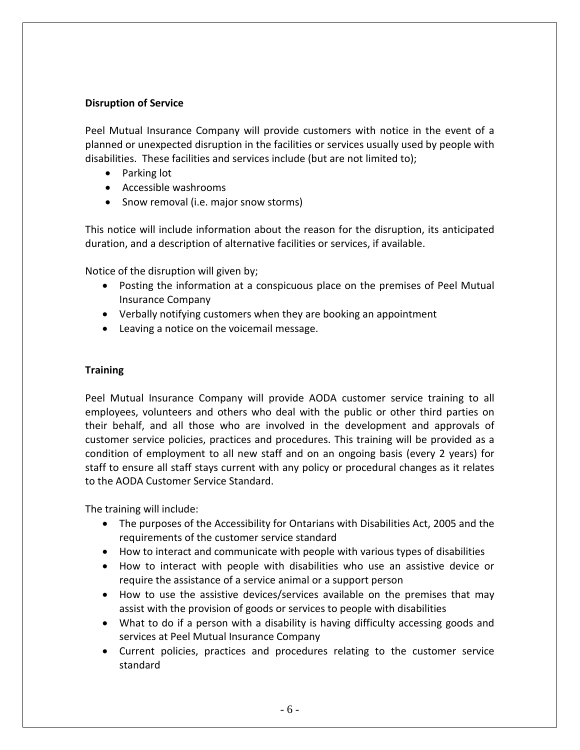#### **Disruption of Service**

Peel Mutual Insurance Company will provide customers with notice in the event of a planned or unexpected disruption in the facilities or services usually used by people with disabilities. These facilities and services include (but are not limited to);

- Parking lot
- Accessible washrooms
- Snow removal (i.e. major snow storms)

This notice will include information about the reason for the disruption, its anticipated duration, and a description of alternative facilities or services, if available.

Notice of the disruption will given by;

- Posting the information at a conspicuous place on the premises of Peel Mutual Insurance Company
- Verbally notifying customers when they are booking an appointment
- Leaving a notice on the voicemail message.

## **Training**

Peel Mutual Insurance Company will provide AODA customer service training to all employees, volunteers and others who deal with the public or other third parties on their behalf, and all those who are involved in the development and approvals of customer service policies, practices and procedures. This training will be provided as a condition of employment to all new staff and on an ongoing basis (every 2 years) for staff to ensure all staff stays current with any policy or procedural changes as it relates to the AODA Customer Service Standard.

The training will include:

- The purposes of the Accessibility for Ontarians with Disabilities Act, 2005 and the requirements of the customer service standard
- How to interact and communicate with people with various types of disabilities
- How to interact with people with disabilities who use an assistive device or require the assistance of a service animal or a support person
- How to use the assistive devices/services available on the premises that may assist with the provision of goods or services to people with disabilities
- What to do if a person with a disability is having difficulty accessing goods and services at Peel Mutual Insurance Company
- Current policies, practices and procedures relating to the customer service standard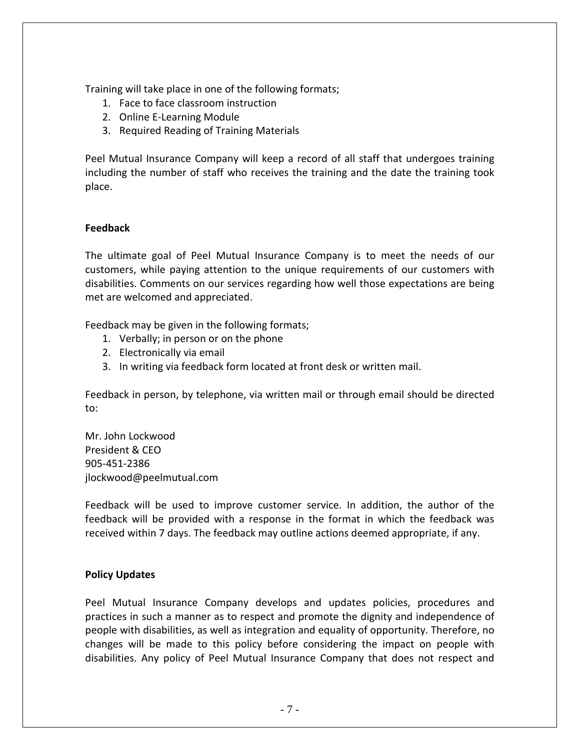Training will take place in one of the following formats;

- 1. Face to face classroom instruction
- 2. Online E-Learning Module
- 3. Required Reading of Training Materials

Peel Mutual Insurance Company will keep a record of all staff that undergoes training including the number of staff who receives the training and the date the training took place.

# **Feedback**

The ultimate goal of Peel Mutual Insurance Company is to meet the needs of our customers, while paying attention to the unique requirements of our customers with disabilities. Comments on our services regarding how well those expectations are being met are welcomed and appreciated.

Feedback may be given in the following formats;

- 1. Verbally; in person or on the phone
- 2. Electronically via email
- 3. In writing via feedback form located at front desk or written mail.

Feedback in person, by telephone, via written mail or through email should be directed to:

Mr. John Lockwood President & CEO 905-451-2386 jlockwood@peelmutual.com

Feedback will be used to improve customer service. In addition, the author of the feedback will be provided with a response in the format in which the feedback was received within 7 days. The feedback may outline actions deemed appropriate, if any.

# **Policy Updates**

Peel Mutual Insurance Company develops and updates policies, procedures and practices in such a manner as to respect and promote the dignity and independence of people with disabilities, as well as integration and equality of opportunity. Therefore, no changes will be made to this policy before considering the impact on people with disabilities. Any policy of Peel Mutual Insurance Company that does not respect and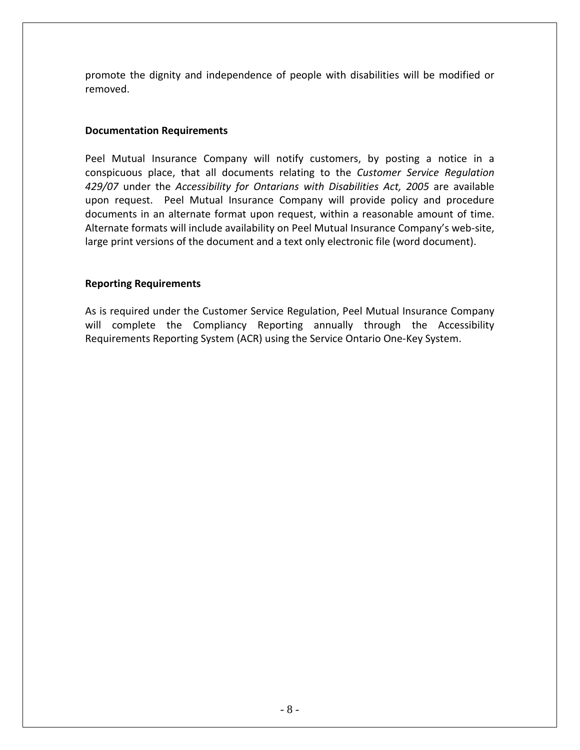promote the dignity and independence of people with disabilities will be modified or removed.

## **Documentation Requirements**

Peel Mutual Insurance Company will notify customers, by posting a notice in a conspicuous place, that all documents relating to the *Customer Service Regulation 429/07* under the *Accessibility for Ontarians with Disabilities Act, 2005* are available upon request. Peel Mutual Insurance Company will provide policy and procedure documents in an alternate format upon request, within a reasonable amount of time. Alternate formats will include availability on Peel Mutual Insurance Company's web-site, large print versions of the document and a text only electronic file (word document).

#### **Reporting Requirements**

As is required under the Customer Service Regulation, Peel Mutual Insurance Company will complete the Compliancy Reporting annually through the Accessibility Requirements Reporting System (ACR) using the Service Ontario One-Key System.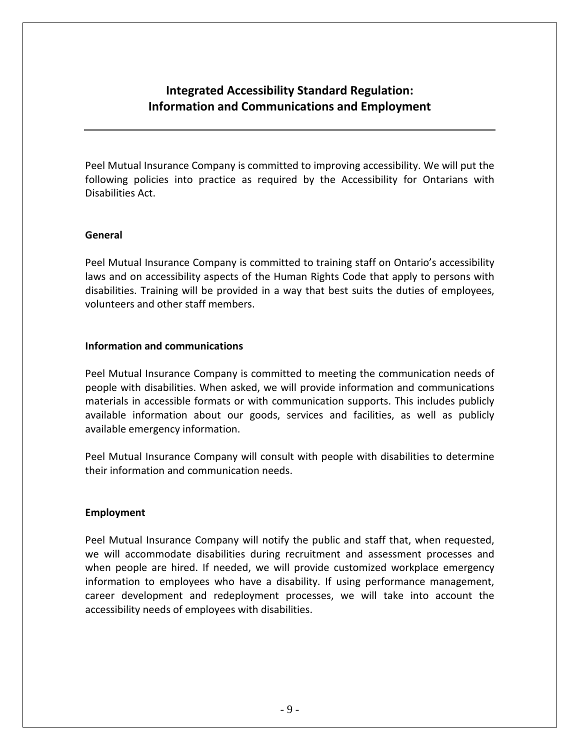# **Integrated Accessibility Standard Regulation: Information and Communications and Employment**

Peel Mutual Insurance Company is committed to improving accessibility. We will put the following policies into practice as required by the Accessibility for Ontarians with Disabilities Act.

#### **General**

Peel Mutual Insurance Company is committed to training staff on Ontario's accessibility laws and on accessibility aspects of the Human Rights Code that apply to persons with disabilities. Training will be provided in a way that best suits the duties of employees, volunteers and other staff members.

#### **Information and communications**

Peel Mutual Insurance Company is committed to meeting the communication needs of people with disabilities. When asked, we will provide information and communications materials in accessible formats or with communication supports. This includes publicly available information about our goods, services and facilities, as well as publicly available emergency information.

Peel Mutual Insurance Company will consult with people with disabilities to determine their information and communication needs.

#### **Employment**

Peel Mutual Insurance Company will notify the public and staff that, when requested, we will accommodate disabilities during recruitment and assessment processes and when people are hired. If needed, we will provide customized workplace emergency information to employees who have a disability. If using performance management, career development and redeployment processes, we will take into account the accessibility needs of employees with disabilities.